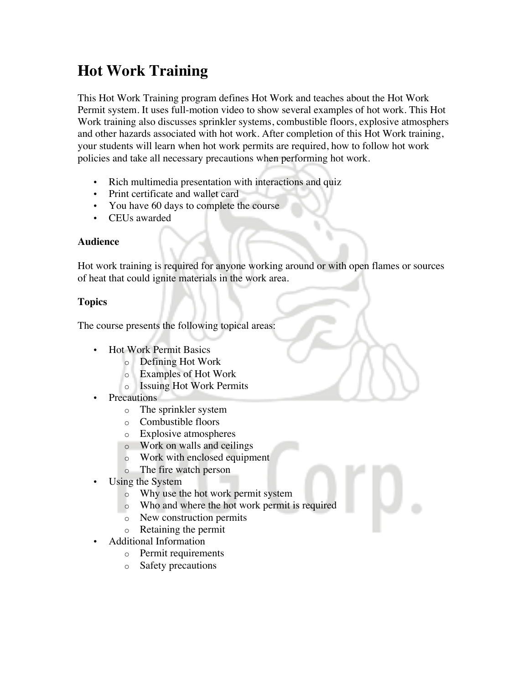# **Hot Work Training**

This Hot Work Training program defines Hot Work and teaches about the Hot Work Permit system. It uses full-motion video to show several examples of hot work. This Hot Work training also discusses sprinkler systems, combustible floors, explosive atmosphers and other hazards associated with hot work. After completion of this Hot Work training, your students will learn when hot work permits are required, how to follow hot work policies and take all necessary precautions when performing hot work.

- Rich multimedia presentation with interactions and quiz
- Print certificate and wallet card
- You have 60 days to complete the course
- CEUs awarded

## **Audience**

Hot work training is required for anyone working around or with open flames or sources of heat that could ignite materials in the work area.

# **Topics**

The course presents the following topical areas:

- Hot Work Permit Basics
	- o Defining Hot Work
	- o Examples of Hot Work
	- o Issuing Hot Work Permits
- Precautions
	- o The sprinkler system
	- o Combustible floors
	- o Explosive atmospheres
	- o Work on walls and ceilings
	- o Work with enclosed equipment
	- o The fire watch person
- Using the System
	- o Why use the hot work permit system
	- o Who and where the hot work permit is required
	- o New construction permits
	- o Retaining the permit
- Additional Information
	- o Permit requirements
	- o Safety precautions